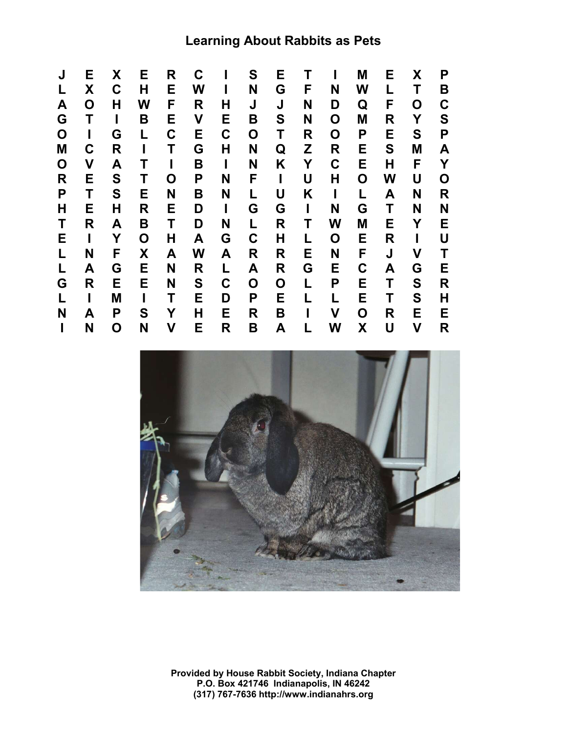# **Learning About Rabbits as Pets**





**Provided by House Rabbit Society, Indiana Chapter P.O. Box 421746 Indianapolis, IN 46242 (317) 767-7636 http://www.indianahrs.org**